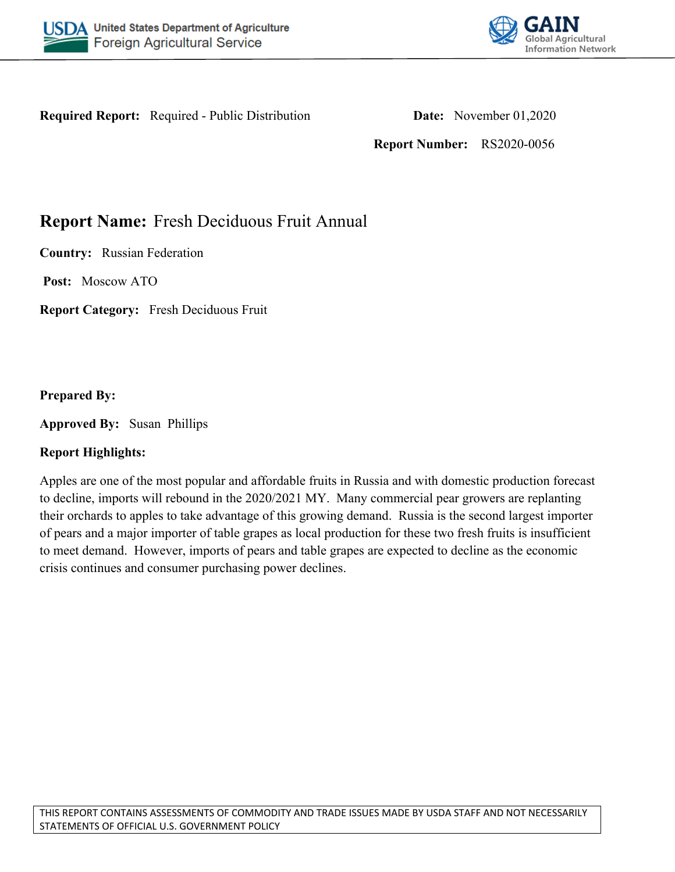



**Required Report:** Required - Public Distribution **Date:** November 01,2020

**Report Number:** RS2020-0056

# **Report Name:** Fresh Deciduous Fruit Annual

**Country:** Russian Federation

**Post:** Moscow ATO

**Report Category:** Fresh Deciduous Fruit

**Prepared By:** 

**Approved By:** Susan Phillips

## **Report Highlights:**

Apples are one of the most popular and affordable fruits in Russia and with domestic production forecast to decline, imports will rebound in the 2020/2021 MY. Many commercial pear growers are replanting their orchards to apples to take advantage of this growing demand. Russia is the second largest importer of pears and a major importer of table grapes as local production for these two fresh fruits is insufficient to meet demand. However, imports of pears and table grapes are expected to decline as the economic crisis continues and consumer purchasing power declines.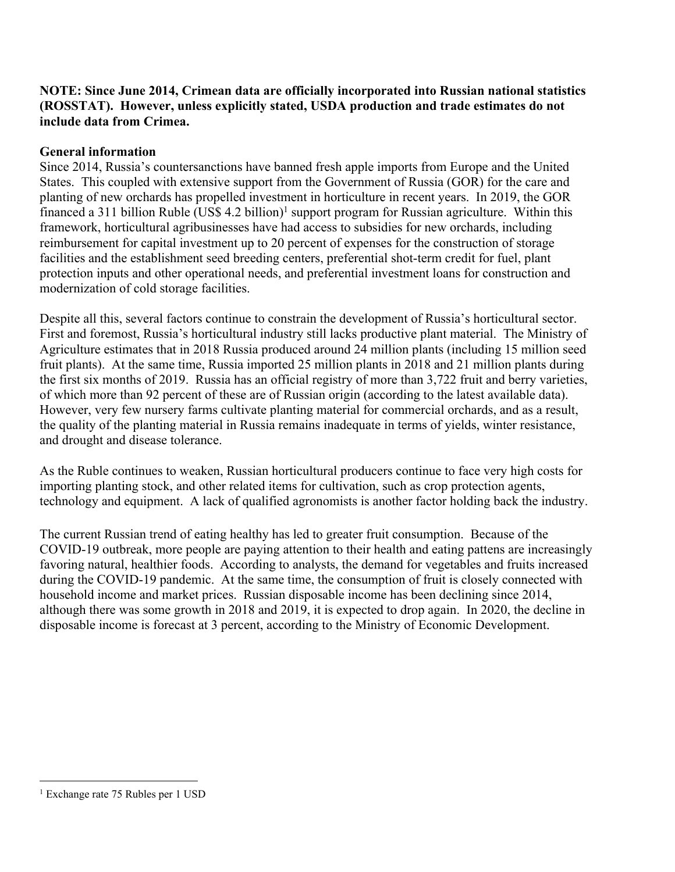## **NOTE: Since June 2014, Crimean data are officially incorporated into Russian national statistics (ROSSTAT). However, unless explicitly stated, USDA production and trade estimates do not include data from Crimea.**

## **General information**

Since 2014, Russia's countersanctions have banned fresh apple imports from Europe and the United States. This coupled with extensive support from the Government of Russia (GOR) for the care and planting of new orchards has propelled investment in horticulture in recent years. In 2019, the GOR financed a 311 billion Ruble (US\$ 4.2 billion)<sup>1</sup> support program for Russian agriculture. Within this framework, horticultural agribusinesses have had access to subsidies for new orchards, including reimbursement for capital investment up to 20 percent of expenses for the construction of storage facilities and the establishment seed breeding centers, preferential shot-term credit for fuel, plant protection inputs and other operational needs, and preferential investment loans for construction and modernization of cold storage facilities.

Despite all this, several factors continue to constrain the development of Russia's horticultural sector. First and foremost, Russia's horticultural industry still lacks productive plant material. The Ministry of Agriculture estimates that in 2018 Russia produced around 24 million plants (including 15 million seed fruit plants). At the same time, Russia imported 25 million plants in 2018 and 21 million plants during the first six months of 2019. Russia has an official registry of more than 3,722 fruit and berry varieties, of which more than 92 percent of these are of Russian origin (according to the latest available data). However, very few nursery farms cultivate planting material for commercial orchards, and as a result, the quality of the planting material in Russia remains inadequate in terms of yields, winter resistance, and drought and disease tolerance.

As the Ruble continues to weaken, Russian horticultural producers continue to face very high costs for importing planting stock, and other related items for cultivation, such as crop protection agents, technology and equipment. A lack of qualified agronomists is another factor holding back the industry.

The current Russian trend of eating healthy has led to greater fruit consumption. Because of the COVID-19 outbreak, more people are paying attention to their health and eating pattens are increasingly favoring natural, healthier foods. According to analysts, the demand for vegetables and fruits increased during the COVID-19 pandemic. At the same time, the consumption of fruit is closely connected with household income and market prices. Russian disposable income has been declining since 2014, although there was some growth in 2018 and 2019, it is expected to drop again. In 2020, the decline in disposable income is forecast at 3 percent, according to the Ministry of Economic Development.

<sup>1</sup> Exchange rate 75 Rubles per 1 USD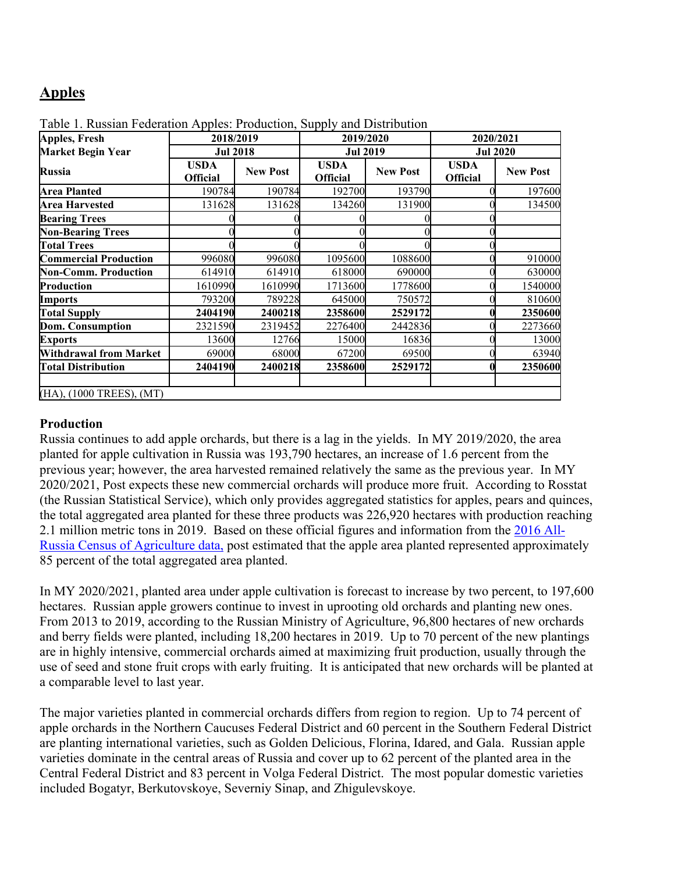## **Apples**

| Apples, Fresh                | 2018/2019                      |                 | 2019/2020                      |                 | 2020/2021                      |                 |
|------------------------------|--------------------------------|-----------------|--------------------------------|-----------------|--------------------------------|-----------------|
| <b>Market Begin Year</b>     | <b>Jul 2018</b>                |                 | <b>Jul 2019</b>                |                 | <b>Jul 2020</b>                |                 |
| Russia                       | <b>USDA</b><br><b>Official</b> | <b>New Post</b> | <b>USDA</b><br><b>Official</b> | <b>New Post</b> | <b>USDA</b><br><b>Official</b> | <b>New Post</b> |
| Area Planted                 | 190784                         | 190784          | 192700                         | 193790          |                                | 197600          |
| Area Harvested               | 131628                         | 131628          | 134260                         | 131900          |                                | 134500          |
| <b>Bearing Trees</b>         |                                |                 |                                |                 |                                |                 |
| <b>Non-Bearing Trees</b>     |                                |                 |                                |                 |                                |                 |
| <b>Total Trees</b>           |                                |                 |                                |                 |                                |                 |
| <b>Commercial Production</b> | 996080                         | 996080          | 1095600                        | 1088600         |                                | 910000          |
| <b>Non-Comm. Production</b>  | 614910                         | 614910          | 618000                         | 690000          |                                | 630000          |
| Production                   | 1610990                        | 1610990         | 1713600                        | 1778600         |                                | 1540000         |
| Imports                      | 793200                         | 789228          | 645000                         | 750572          |                                | 810600          |
| <b>Total Supply</b>          | 2404190                        | 2400218         | 2358600                        | 2529172         |                                | 2350600         |
| Dom. Consumption             | 2321590                        | 2319452         | 2276400                        | 2442836         |                                | 2273660         |
| <b>Exports</b>               | 13600                          | 12766           | 15000                          | 16836           |                                | 13000           |
| Withdrawal from Market       | 69000                          | 68000           | 67200                          | 69500           |                                | 63940           |
| <b>Total Distribution</b>    | 2404190                        | 2400218         | 2358600                        | 2529172         |                                | 2350600         |
| (HA), (1000 TREES), (MT)     |                                |                 |                                |                 |                                |                 |

Table 1. Russian Federation Apples: Production, Supply and Distribution

## **Production**

Russia continues to add apple orchards, but there is a lag in the yields. In MY 2019/2020, the area planted for apple cultivation in Russia was 193,790 hectares, an increase of 1.6 percent from the previous year; however, the area harvested remained relatively the same as the previous year. In MY 2020/2021, Post expects these new commercial orchards will produce more fruit. According to Rosstat (the Russian Statistical Service), which only provides aggregated statistics for apples, pears and quinces, the total aggregated area planted for these three products was 226,920 hectares with production reaching 2.1 million metric tons in 2019. Based on these official figures and information from the 2016 All-Russia Census of Agriculture data, post estimated that the apple area planted represented approximately 85 percent of the total aggregated area planted.

In MY 2020/2021, planted area under apple cultivation is forecast to increase by two percent, to 197,600 hectares. Russian apple growers continue to invest in uprooting old orchards and planting new ones. From 2013 to 2019, according to the Russian Ministry of Agriculture, 96,800 hectares of new orchards and berry fields were planted, including 18,200 hectares in 2019. Up to 70 percent of the new plantings are in highly intensive, commercial orchards aimed at maximizing fruit production, usually through the use of seed and stone fruit crops with early fruiting. It is anticipated that new orchards will be planted at a comparable level to last year.

The major varieties planted in commercial orchards differs from region to region. Up to 74 percent of apple orchards in the Northern Caucuses Federal District and 60 percent in the Southern Federal District are planting international varieties, such as Golden Delicious, Florina, Idared, and Gala. Russian apple varieties dominate in the central areas of Russia and cover up to 62 percent of the planted area in the Central Federal District and 83 percent in Volga Federal District. The most popular domestic varieties included Bogatyr, Berkutovskoye, Severniy Sinap, and Zhigulevskoye.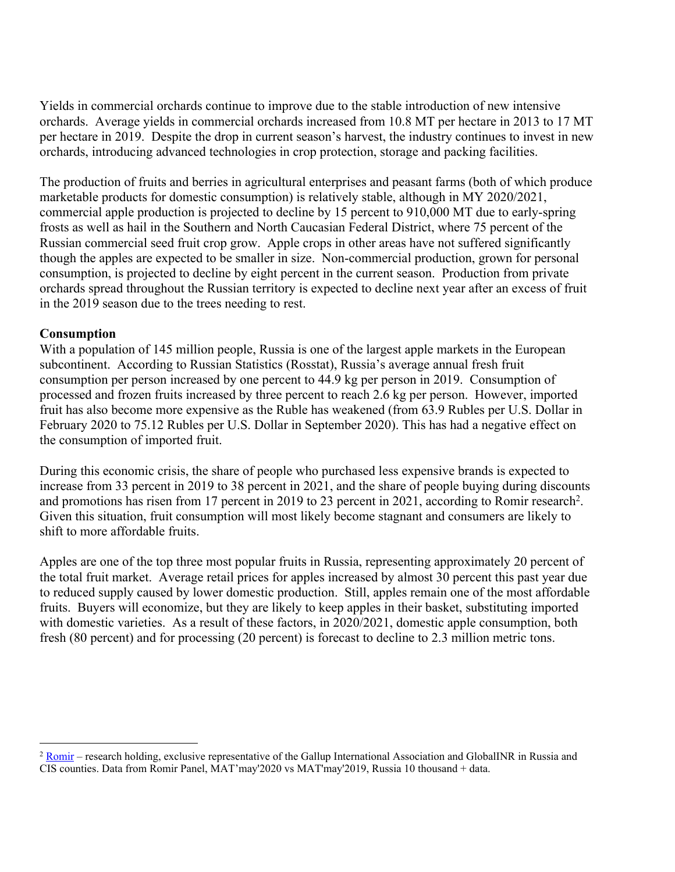Yields in commercial orchards continue to improve due to the stable introduction of new intensive orchards. Average yields in commercial orchards increased from 10.8 MT per hectare in 2013 to 17 MT per hectare in 2019. Despite the drop in current season's harvest, the industry continues to invest in new orchards, introducing advanced technologies in crop protection, storage and packing facilities.

The production of fruits and berries in agricultural enterprises and peasant farms (both of which produce marketable products for domestic consumption) is relatively stable, although in MY 2020/2021, commercial apple production is projected to decline by 15 percent to 910,000 MT due to early-spring frosts as well as hail in the Southern and North Caucasian Federal District, where 75 percent of the Russian commercial seed fruit crop grow. Apple crops in other areas have not suffered significantly though the apples are expected to be smaller in size. Non-commercial production, grown for personal consumption, is projected to decline by eight percent in the current season. Production from private orchards spread throughout the Russian territory is expected to decline next year after an excess of fruit in the 2019 season due to the trees needing to rest.

#### **Consumption**

With a population of 145 million people, Russia is one of the largest apple markets in the European subcontinent. According to Russian Statistics (Rosstat), Russia's average annual fresh fruit consumption per person increased by one percent to 44.9 kg per person in 2019. Consumption of processed and frozen fruits increased by three percent to reach 2.6 kg per person. However, imported fruit has also become more expensive as the Ruble has weakened (from 63.9 Rubles per U.S. Dollar in February 2020 to 75.12 Rubles per U.S. Dollar in September 2020). This has had a negative effect on the consumption of imported fruit.

During this economic crisis, the share of people who purchased less expensive brands is expected to increase from 33 percent in 2019 to 38 percent in 2021, and the share of people buying during discounts and promotions has risen from 17 percent in 2019 to 23 percent in 2021, according to Romir research<sup>2</sup>. Given this situation, fruit consumption will most likely become stagnant and consumers are likely to shift to more affordable fruits.

Apples are one of the top three most popular fruits in Russia, representing approximately 20 percent of the total fruit market. Average retail prices for apples increased by almost 30 percent this past year due to reduced supply caused by lower domestic production. Still, apples remain one of the most affordable fruits. Buyers will economize, but they are likely to keep apples in their basket, substituting imported with domestic varieties. As a result of these factors, in 2020/2021, domestic apple consumption, both fresh (80 percent) and for processing (20 percent) is forecast to decline to 2.3 million metric tons.

<sup>&</sup>lt;sup>2</sup> [Romir](about:blank) – research holding, exclusive representative of the Gallup International Association and GlobalINR in Russia and CIS counties. Data from Romir Panel, MAT'may'2020 vs MAT'may'2019, Russia 10 thousand + data.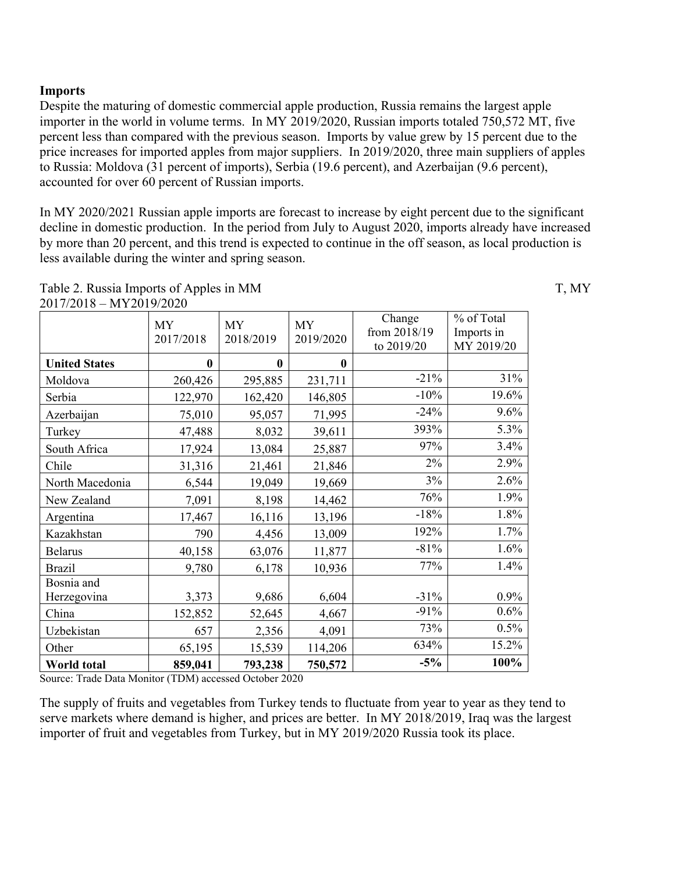#### **Imports**

Despite the maturing of domestic commercial apple production, Russia remains the largest apple importer in the world in volume terms. In MY 2019/2020, Russian imports totaled 750,572 MT, five percent less than compared with the previous season. Imports by value grew by 15 percent due to the price increases for imported apples from major suppliers. In 2019/2020, three main suppliers of apples to Russia: Moldova (31 percent of imports), Serbia (19.6 percent), and Azerbaijan (9.6 percent), accounted for over 60 percent of Russian imports.

In MY 2020/2021 Russian apple imports are forecast to increase by eight percent due to the significant decline in domestic production. In the period from July to August 2020, imports already have increased by more than 20 percent, and this trend is expected to continue in the off season, as local production is less available during the winter and spring season.

Table 2. Russia Imports of Apples in MM T, MY 2017/2018 – MY2019/2020

|                      | <b>MY</b><br>2017/2018 | <b>MY</b><br>2018/2019 | <b>MY</b><br>2019/2020 | Change<br>from 2018/19<br>to 2019/20 | % of Total<br>Imports in<br>MY 2019/20 |
|----------------------|------------------------|------------------------|------------------------|--------------------------------------|----------------------------------------|
| <b>United States</b> | $\bf{0}$               | $\bf{0}$               | $\bf{0}$               |                                      |                                        |
| Moldova              | 260,426                | 295,885                | 231,711                | $-21%$                               | 31%                                    |
| Serbia               | 122,970                | 162,420                | 146,805                | $-10%$                               | 19.6%                                  |
| Azerbaijan           | 75,010                 | 95,057                 | 71,995                 | $-24%$                               | 9.6%                                   |
| Turkey               | 47,488                 | 8,032                  | 39,611                 | 393%                                 | 5.3%                                   |
| South Africa         | 17,924                 | 13,084                 | 25,887                 | 97%                                  | 3.4%                                   |
| Chile                | 31,316                 | 21,461                 | 21,846                 | 2%                                   | 2.9%                                   |
| North Macedonia      | 6,544                  | 19,049                 | 19,669                 | 3%                                   | 2.6%                                   |
| New Zealand          | 7,091                  | 8,198                  | 14,462                 | 76%                                  | 1.9%                                   |
| Argentina            | 17,467                 | 16,116                 | 13,196                 | $-18%$                               | 1.8%                                   |
| Kazakhstan           | 790                    | 4,456                  | 13,009                 | 192%                                 | 1.7%                                   |
| <b>Belarus</b>       | 40,158                 | 63,076                 | 11,877                 | $-81%$                               | 1.6%                                   |
| <b>Brazil</b>        | 9,780                  | 6,178                  | 10,936                 | 77%                                  | 1.4%                                   |
| Bosnia and           |                        |                        |                        |                                      |                                        |
| Herzegovina          | 3,373                  | 9,686                  | 6,604                  | $-31%$                               | 0.9%                                   |
| China                | 152,852                | 52,645                 | 4,667                  | $-91%$                               | 0.6%                                   |
| Uzbekistan           | 657                    | 2,356                  | 4,091                  | 73%                                  | 0.5%                                   |
| Other                | 65,195                 | 15,539                 | 114,206                | 634%                                 | 15.2%                                  |
| World total          | 859,041                | 793,238                | 750,572                | $-5%$                                | 100%                                   |

Source: Trade Data Monitor (TDM) accessed October 2020

The supply of fruits and vegetables from Turkey tends to fluctuate from year to year as they tend to serve markets where demand is higher, and prices are better. In MY 2018/2019, Iraq was the largest importer of fruit and vegetables from Turkey, but in MY 2019/2020 Russia took its place.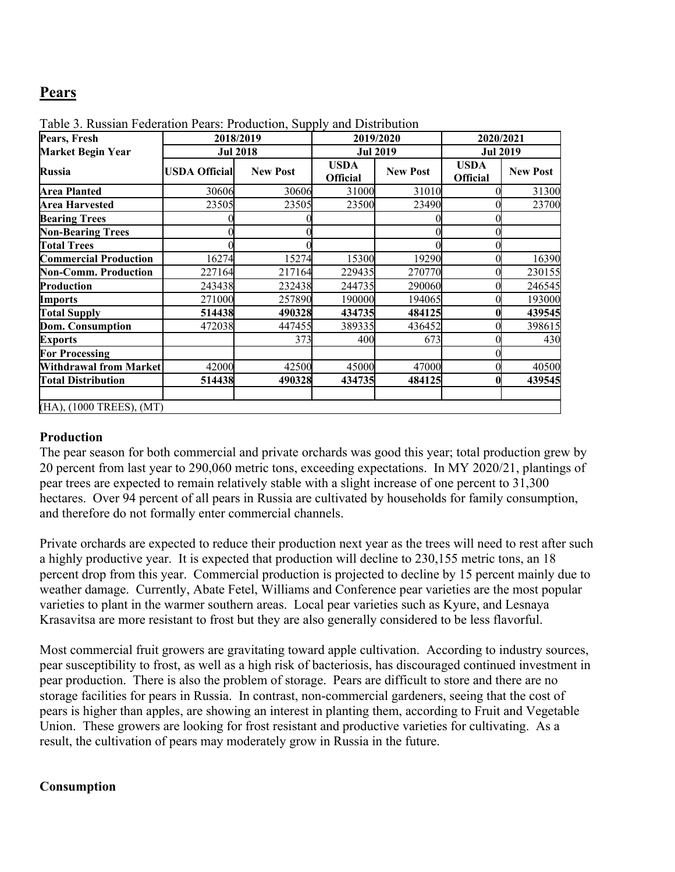## **Pears**

| Pears, Fresh                 | 2018/2019            |                 | 2019/2020                      |                 | 2020/2021               |                 |
|------------------------------|----------------------|-----------------|--------------------------------|-----------------|-------------------------|-----------------|
| <b>Market Begin Year</b>     | <b>Jul 2018</b>      |                 | <b>Jul 2019</b>                |                 | <b>Jul 2019</b>         |                 |
| Russia                       | <b>USDA Official</b> | <b>New Post</b> | <b>USDA</b><br><b>Official</b> | <b>New Post</b> | USDA<br><b>Official</b> | <b>New Post</b> |
| <b>Area Planted</b>          | 30606                | 30606           | 31000                          | 31010           |                         | 31300           |
| Area Harvested               | 23505                | 23505           | 23500                          | 23490           |                         | 23700           |
| <b>Bearing Trees</b>         |                      |                 |                                |                 |                         |                 |
| <b>Non-Bearing Trees</b>     |                      |                 |                                |                 |                         |                 |
| <b>Total Trees</b>           |                      |                 |                                |                 |                         |                 |
| <b>Commercial Production</b> | 16274                | 15274           | 15300                          | 19290           |                         | 16390           |
| <b>Non-Comm. Production</b>  | 227164               | 217164          | 229435                         | 270770          |                         | 230155          |
| Production                   | 243438               | 232438          | 244735                         | 290060          |                         | 246545          |
| Imports                      | 271000               | 257890          | 190000                         | 194065          |                         | 193000          |
| <b>Total Supply</b>          | 514438               | 490328          | 434735                         | 484125          |                         | 439545          |
| Dom. Consumption             | 472038               | 447455          | 389335                         | 436452          |                         | 398615          |
| <b>Exports</b>               |                      | 373             | 400                            | 673             |                         | 430             |
| <b>For Processing</b>        |                      |                 |                                |                 |                         |                 |
| Withdrawal from Market       | 42000                | 42500           | 45000                          | 47000           |                         | 40500           |
| <b>Total Distribution</b>    | 514438               | 490328          | 434735                         | 484125          |                         | 439545          |
| (HA), (1000 TREES), (MT)     |                      |                 |                                |                 |                         |                 |

Table 3. Russian Federation Pears: Production, Supply and Distribution

#### **Production**

The pear season for both commercial and private orchards was good this year; total production grew by 20 percent from last year to 290,060 metric tons, exceeding expectations. In MY 2020/21, plantings of pear trees are expected to remain relatively stable with a slight increase of one percent to 31,300 hectares. Over 94 percent of all pears in Russia are cultivated by households for family consumption, and therefore do not formally enter commercial channels.

Private orchards are expected to reduce their production next year as the trees will need to rest after such a highly productive year. It is expected that production will decline to 230,155 metric tons, an 18 percent drop from this year. Commercial production is projected to decline by 15 percent mainly due to weather damage. Currently, Abate Fetel, Williams and Conference pear varieties are the most popular varieties to plant in the warmer southern areas. Local pear varieties such as Kyure, and Lesnaya Krasavitsa are more resistant to frost but they are also generally considered to be less flavorful.

Most commercial fruit growers are gravitating toward apple cultivation. According to industry sources, pear susceptibility to frost, as well as a high risk of bacteriosis, has discouraged continued investment in pear production. There is also the problem of storage. Pears are difficult to store and there are no storage facilities for pears in Russia. In contrast, non-commercial gardeners, seeing that the cost of pears is higher than apples, are showing an interest in planting them, according to Fruit and Vegetable Union. These growers are looking for frost resistant and productive varieties for cultivating. As a result, the cultivation of pears may moderately grow in Russia in the future.

### **Consumption**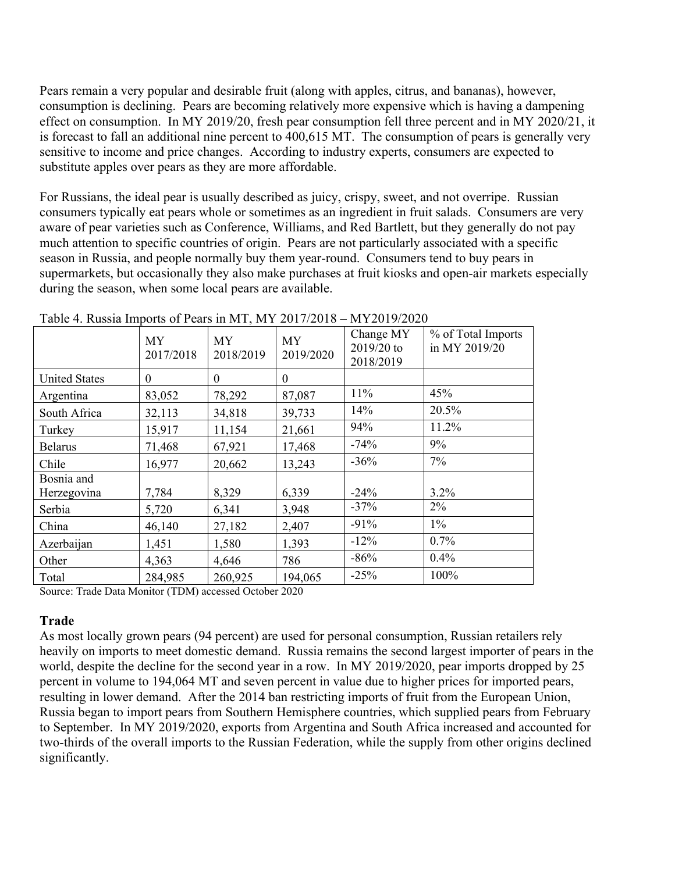Pears remain a very popular and desirable fruit (along with apples, citrus, and bananas), however, consumption is declining. Pears are becoming relatively more expensive which is having a dampening effect on consumption. In MY 2019/20, fresh pear consumption fell three percent and in MY 2020/21, it is forecast to fall an additional nine percent to 400,615 MT. The consumption of pears is generally very sensitive to income and price changes. According to industry experts, consumers are expected to substitute apples over pears as they are more affordable.

For Russians, the ideal pear is usually described as juicy, crispy, sweet, and not overripe. Russian consumers typically eat pears whole or sometimes as an ingredient in fruit salads. Consumers are very aware of pear varieties such as Conference, Williams, and Red Bartlett, but they generally do not pay much attention to specific countries of origin. Pears are not particularly associated with a specific season in Russia, and people normally buy them year-round. Consumers tend to buy pears in supermarkets, but occasionally they also make purchases at fruit kiosks and open-air markets especially during the season, when some local pears are available.

|                           | <b>MY</b><br>2017/2018 | <b>MY</b><br>2018/2019 | <b>MY</b><br>2019/2020 | Change MY<br>2019/20 to<br>2018/2019 | % of Total Imports<br>in MY 2019/20 |
|---------------------------|------------------------|------------------------|------------------------|--------------------------------------|-------------------------------------|
| <b>United States</b>      | $\theta$               | $\theta$               | $\theta$               |                                      |                                     |
| Argentina                 | 83,052                 | 78,292                 | 87,087                 | 11%                                  | 45%                                 |
| South Africa              | 32,113                 | 34,818                 | 39,733                 | 14%                                  | 20.5%                               |
| Turkey                    | 15,917                 | 11,154                 | 21,661                 | 94%                                  | 11.2%                               |
| <b>Belarus</b>            | 71,468                 | 67,921                 | 17,468                 | $-74%$                               | 9%                                  |
| Chile                     | 16,977                 | 20,662                 | 13,243                 | $-36%$                               | 7%                                  |
| Bosnia and<br>Herzegovina | 7,784                  | 8,329                  | 6,339                  | $-24\%$                              | $3.2\%$                             |
| Serbia                    | 5,720                  | 6,341                  | 3,948                  | $-37%$                               | 2%                                  |
| China                     | 46,140                 | 27,182                 | 2,407                  | $-91%$                               | $1\%$                               |
| Azerbaijan                | 1,451                  | 1,580                  | 1,393                  | $-12%$                               | 0.7%                                |
| Other                     | 4,363                  | 4,646                  | 786                    | $-86%$                               | 0.4%                                |
| Total                     | 284,985                | 260,925                | 194,065                | $-25%$                               | 100%                                |

Table 4. Russia Imports of Pears in MT, MY 2017/2018 – MY2019/2020

Source: Trade Data Monitor (TDM) accessed October 2020

#### **Trade**

As most locally grown pears (94 percent) are used for personal consumption, Russian retailers rely heavily on imports to meet domestic demand. Russia remains the second largest importer of pears in the world, despite the decline for the second year in a row. In MY 2019/2020, pear imports dropped by 25 percent in volume to 194,064 MT and seven percent in value due to higher prices for imported pears, resulting in lower demand. After the 2014 ban restricting imports of fruit from the European Union, Russia began to import pears from Southern Hemisphere countries, which supplied pears from February to September. In MY 2019/2020, exports from Argentina and South Africa increased and accounted for two-thirds of the overall imports to the Russian Federation, while the supply from other origins declined significantly.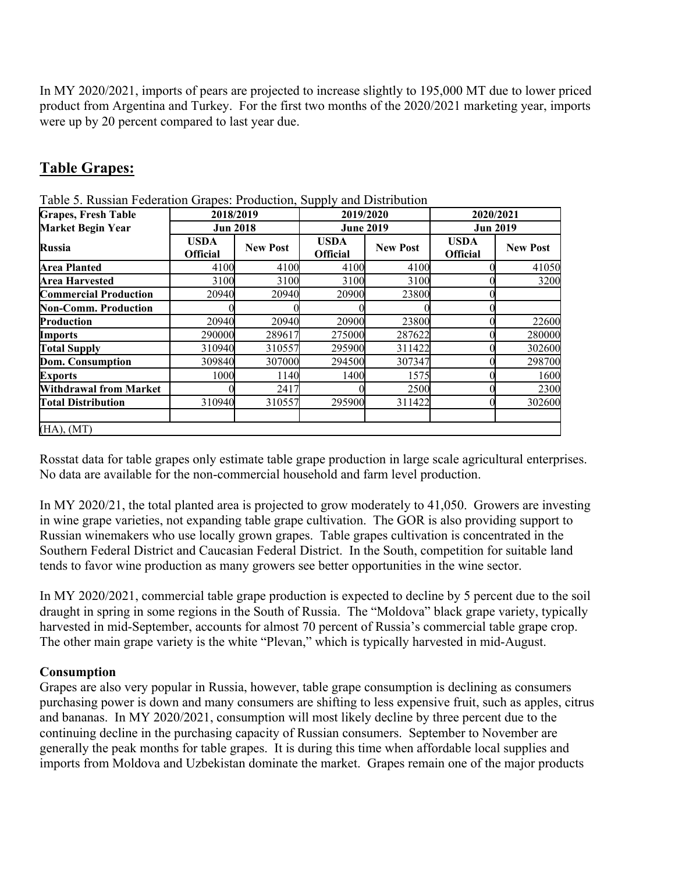In MY 2020/2021, imports of pears are projected to increase slightly to 195,000 MT due to lower priced product from Argentina and Turkey. For the first two months of the 2020/2021 marketing year, imports were up by 20 percent compared to last year due.

## **Table Grapes:**

| <b>Grapes, Fresh Table</b>   | 2018/2019                      |                                     | 2019/2020                      |                 | 2020/2021<br><b>Jun 2019</b>   |                 |
|------------------------------|--------------------------------|-------------------------------------|--------------------------------|-----------------|--------------------------------|-----------------|
| <b>Market Begin Year</b>     |                                | <b>Jun 2018</b><br><b>June 2019</b> |                                |                 |                                |                 |
| Russia                       | <b>USDA</b><br><b>Official</b> | <b>New Post</b>                     | <b>USDA</b><br><b>Official</b> | <b>New Post</b> | <b>USDA</b><br><b>Official</b> | <b>New Post</b> |
| <b>Area Planted</b>          | 4100                           | 4100                                | 4100                           | 4100            |                                | 41050           |
| <b>Area Harvested</b>        | 3100                           | 3100                                | 3100                           | 3100            |                                | 3200            |
| <b>Commercial Production</b> | 20940                          | 20940                               | 20900                          | 23800           |                                |                 |
| <b>Non-Comm. Production</b>  |                                |                                     |                                |                 |                                |                 |
| Production                   | 20940                          | 20940                               | 20900                          | 23800           |                                | 22600           |
| <b>Imports</b>               | 290000                         | 289617                              | 275000                         | 287622          |                                | 280000          |
| <b>Total Supply</b>          | 310940                         | 310557                              | 295900                         | 311422          |                                | 302600          |
| Dom. Consumption             | 309840                         | 307000                              | 294500                         | 307347          |                                | 298700          |
| <b>Exports</b>               | 1000                           | 1140                                | 1400                           | 1575            |                                | 1600            |
| Withdrawal from Market       |                                | 2417                                |                                | 2500            |                                | 2300            |
| <b>Total Distribution</b>    | 310940                         | 310557                              | 295900                         | 311422          |                                | 302600          |
| (HA), (MT)                   |                                |                                     |                                |                 |                                |                 |

Table 5. Russian Federation Grapes: Production, Supply and Distribution

Rosstat data for table grapes only estimate table grape production in large scale agricultural enterprises. No data are available for the non-commercial household and farm level production.

In MY 2020/21, the total planted area is projected to grow moderately to 41,050. Growers are investing in wine grape varieties, not expanding table grape cultivation. The GOR is also providing support to Russian winemakers who use locally grown grapes. Table grapes cultivation is concentrated in the Southern Federal District and Caucasian Federal District. In the South, competition for suitable land tends to favor wine production as many growers see better opportunities in the wine sector.

In MY 2020/2021, commercial table grape production is expected to decline by 5 percent due to the soil draught in spring in some regions in the South of Russia. The "Moldova" black grape variety, typically harvested in mid-September, accounts for almost 70 percent of Russia's commercial table grape crop. The other main grape variety is the white "Plevan," which is typically harvested in mid-August.

## **Consumption**

Grapes are also very popular in Russia, however, table grape consumption is declining as consumers purchasing power is down and many consumers are shifting to less expensive fruit, such as apples, citrus and bananas. In MY 2020/2021, consumption will most likely decline by three percent due to the continuing decline in the purchasing capacity of Russian consumers. September to November are generally the peak months for table grapes. It is during this time when affordable local supplies and imports from Moldova and Uzbekistan dominate the market. Grapes remain one of the major products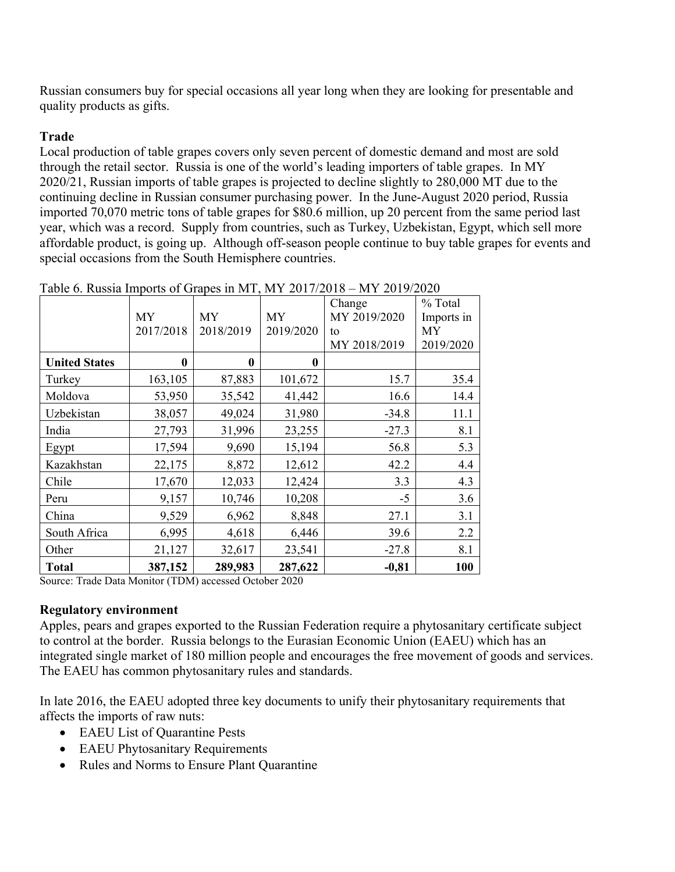Russian consumers buy for special occasions all year long when they are looking for presentable and quality products as gifts.

## **Trade**

Local production of table grapes covers only seven percent of domestic demand and most are sold through the retail sector. Russia is one of the world's leading importers of table grapes. In MY 2020/21, Russian imports of table grapes is projected to decline slightly to 280,000 MT due to the continuing decline in Russian consumer purchasing power. In the June-August 2020 period, Russia imported 70,070 metric tons of table grapes for \$80.6 million, up 20 percent from the same period last year, which was a record. Supply from countries, such as Turkey, Uzbekistan, Egypt, which sell more affordable product, is going up. Although off-season people continue to buy table grapes for events and special occasions from the South Hemisphere countries.

|                      |                  |              |           | Change       | % Total    |
|----------------------|------------------|--------------|-----------|--------------|------------|
|                      | <b>MY</b>        | <b>MY</b>    | MY        | MY 2019/2020 | Imports in |
|                      | 2017/2018        | 2018/2019    | 2019/2020 | to           | MY         |
|                      |                  |              |           | MY 2018/2019 | 2019/2020  |
| <b>United States</b> | $\boldsymbol{0}$ | $\mathbf{0}$ | $\bf{0}$  |              |            |
| Turkey               | 163,105          | 87,883       | 101,672   | 15.7         | 35.4       |
| Moldova              | 53,950           | 35,542       | 41,442    | 16.6         | 14.4       |
| Uzbekistan           | 38,057           | 49,024       | 31,980    | $-34.8$      | 11.1       |
| India                | 27,793           | 31,996       | 23,255    | $-27.3$      | 8.1        |
| Egypt                | 17,594           | 9,690        | 15,194    | 56.8         | 5.3        |
| Kazakhstan           | 22,175           | 8,872        | 12,612    | 42.2         | 4.4        |
| Chile                | 17,670           | 12,033       | 12,424    | 3.3          | 4.3        |
| Peru                 | 9,157            | 10,746       | 10,208    | $-5$         | 3.6        |
| China                | 9,529            | 6,962        | 8,848     | 27.1         | 3.1        |
| South Africa         | 6,995            | 4,618        | 6,446     | 39.6         | 2.2        |
| Other                | 21,127           | 32,617       | 23,541    | $-27.8$      | 8.1        |
| <b>Total</b>         | 387,152          | 289,983      | 287,622   | $-0,81$      | 100        |

Table 6. Russia Imports of Grapes in MT, MY 2017/2018 – MY 2019/2020

Source: Trade Data Monitor (TDM) accessed October 2020

### **Regulatory environment**

Apples, pears and grapes exported to the Russian Federation require a phytosanitary certificate subject to control at the border. Russia belongs to the Eurasian Economic Union (EAEU) which has an integrated single market of 180 million people and encourages the free movement of goods and services. The EAEU has common phytosanitary rules and standards.

In late 2016, the EAEU adopted three key documents to unify their phytosanitary requirements that affects the imports of raw nuts:

- EAEU List of Quarantine Pests
- EAEU Phytosanitary Requirements
- Rules and Norms to Ensure Plant Quarantine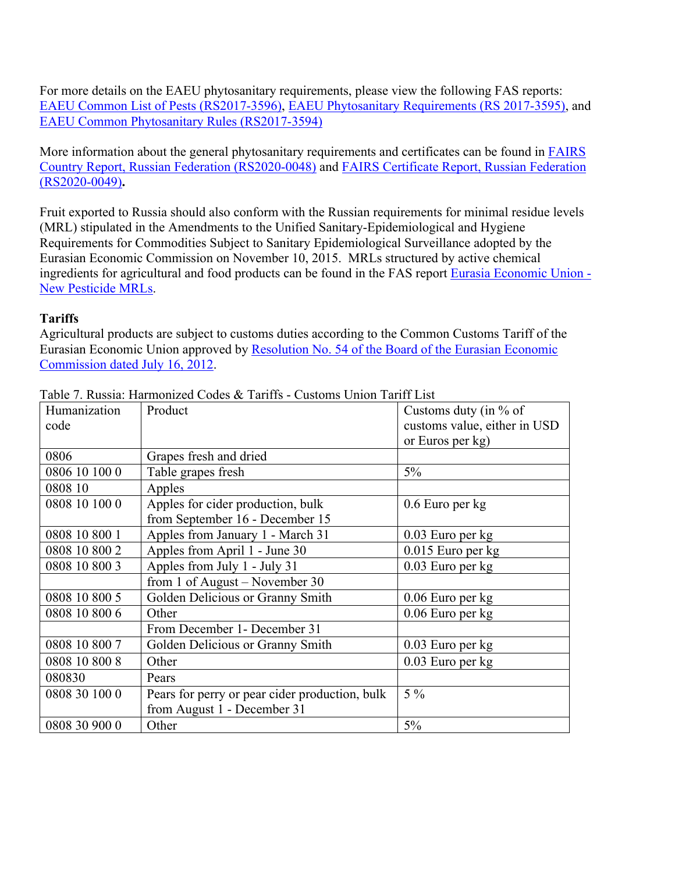For more details on the EAEU phytosanitary requirements, please view the following FAS reports: [EAEU Common List of Pests \(RS2017-3596\),](about:blank) [EAEU Phytosanitary Requirements \(RS 2017-3595\),](about:blank) and [EAEU Common Phytosanitary Rules \(RS2017-3594\)](about:blank)

More information about the general phytosanitary requirements and certificates can be found in [FAIRS](about:blank)  [Country Report, Russian Federation \(RS2020-0048\)](about:blank) and [FAIRS Certificate Report, Russian Federation](about:blank)  [\(RS2020-0049\)](about:blank)**.**

Fruit exported to Russia should also conform with the Russian requirements for minimal residue levels (MRL) stipulated in the Amendments to the Unified Sanitary-Epidemiological and Hygiene Requirements for Commodities Subject to Sanitary Epidemiological Surveillance adopted by the Eurasian Economic Commission on November 10, 2015. MRLs structured by active chemical ingredients for agricultural and food products can be found in the FAS report [Eurasia Economic Union -](about:blank)  [New Pesticide MRLs.](about:blank)

#### **Tariffs**

Agricultural products are subject to customs duties according to the Common Customs Tariff of the Eurasian Economic Union approved by [Resolution No. 54 of the Board of the Eurasian Economic](about:blank)  [Commission dated July 16, 2012.](about:blank)

| Humanization  | Product                                        | Customs duty (in $%$ of      |
|---------------|------------------------------------------------|------------------------------|
| code          |                                                | customs value, either in USD |
|               |                                                | or Euros per kg)             |
| 0806          | Grapes fresh and dried                         |                              |
| 0806 10 100 0 | Table grapes fresh                             | $5\%$                        |
| 0808 10       | Apples                                         |                              |
| 0808 10 100 0 | Apples for cider production, bulk              | $0.6$ Euro per $kg$          |
|               | from September 16 - December 15                |                              |
| 0808 10 800 1 | Apples from January 1 - March 31               | $0.03$ Euro per kg           |
| 0808 10 800 2 | Apples from April 1 - June 30                  | 0.015 Euro per kg            |
| 0808 10 800 3 | Apples from July 1 - July 31                   | $0.03$ Euro per $kg$         |
|               | from 1 of August – November 30                 |                              |
| 0808 10 800 5 | Golden Delicious or Granny Smith               | $0.06$ Euro per $kg$         |
| 0808 10 800 6 | Other                                          | 0.06 Euro per kg             |
|               | From December 1- December 31                   |                              |
| 0808 10 800 7 | Golden Delicious or Granny Smith               | 0.03 Euro per kg             |
| 0808 10 800 8 | Other                                          | $0.03$ Euro per $kg$         |
| 080830        | Pears                                          |                              |
| 0808 30 100 0 | Pears for perry or pear cider production, bulk | $5\%$                        |
|               | from August 1 - December 31                    |                              |
| 0808 30 900 0 | Other                                          | 5%                           |

Table 7. Russia: Harmonized Codes & Tariffs - Customs Union Tariff List